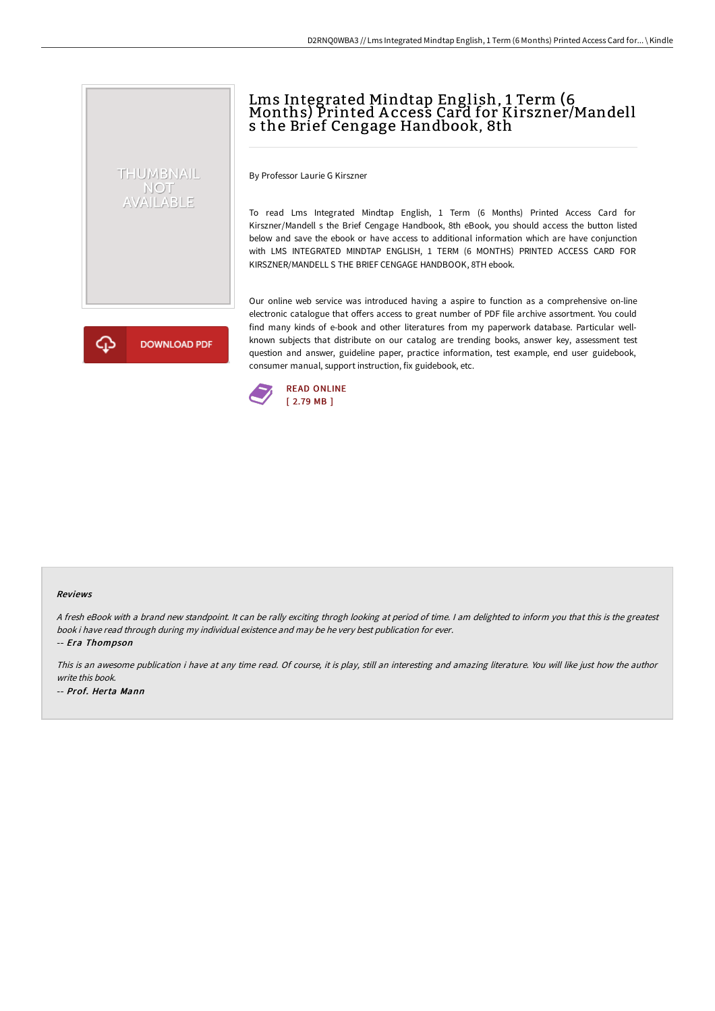# Lms Integrated Mindtap English, 1 Term (6 Months) Printed A ccess Card for Kirszner/Mandell s the Brief Cengage Handbook, 8th

By Professor Laurie G Kirszner

To read Lms Integrated Mindtap English, 1 Term (6 Months) Printed Access Card for Kirszner/Mandell s the Brief Cengage Handbook, 8th eBook, you should access the button listed below and save the ebook or have access to additional information which are have conjunction with LMS INTEGRATED MINDTAP ENGLISH, 1 TERM (6 MONTHS) PRINTED ACCESS CARD FOR KIRSZNER/MANDELL S THE BRIEF CENGAGE HANDBOOK, 8TH ebook.

**DOWNLOAD PDF** 

THUMBNAIL NOT<br>AVAILABLE

> Our online web service was introduced having a aspire to function as a comprehensive on-line electronic catalogue that offers access to great number of PDF file archive assortment. You could find many kinds of e-book and other literatures from my paperwork database. Particular wellknown subjects that distribute on our catalog are trending books, answer key, assessment test question and answer, guideline paper, practice information, test example, end user guidebook, consumer manual, support instruction, fix guidebook, etc.



#### Reviews

<sup>A</sup> fresh eBook with <sup>a</sup> brand new standpoint. It can be rally exciting throgh looking at period of time. <sup>I</sup> am delighted to inform you that this is the greatest book i have read through during my individual existence and may be he very best publication for ever.

-- Era Thompson

This is an awesome publication i have at any time read. Of course, it is play, still an interesting and amazing literature. You will like just how the author write this book. -- Prof. Herta Mann